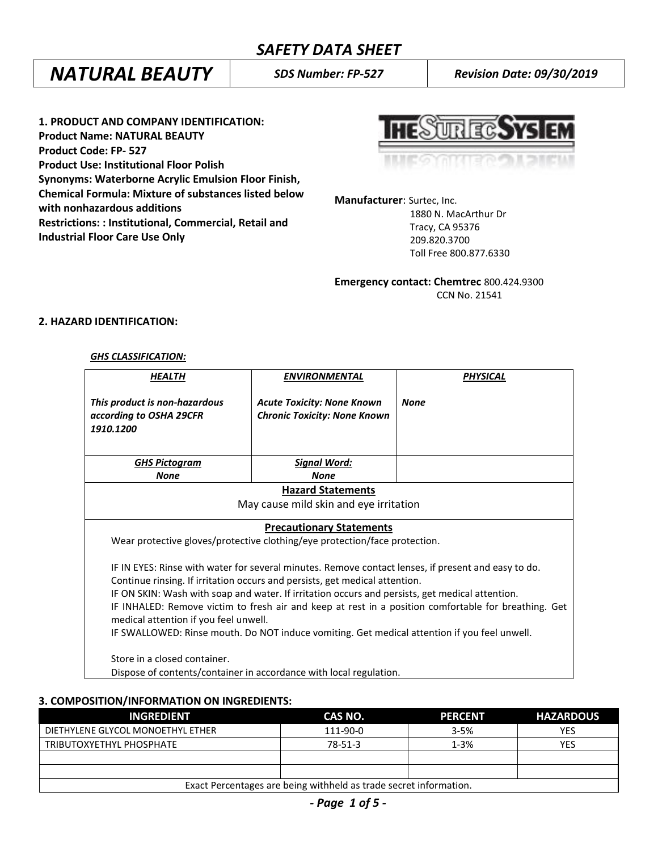# *NATURAL BEAUTY SDS Number: FP-527 Revision Date: 09/30/2019*

**1. PRODUCT AND COMPANY IDENTIFICATION: Product Name: NATURAL BEAUTY Product Code: FP- 527 Product Use: Institutional Floor Polish Synonyms: Waterborne Acrylic Emulsion Floor Finish, Chemical Formula: Mixture of substances listed below with nonhazardous additions Restrictions: : Institutional, Commercial, Retail and Industrial Floor Care Use Only**

**THECAL** 

**Manufacturer**: Surtec, Inc.

 1880 N. MacArthur Dr Tracy, CA 95376 209.820.3700 Toll Free 800.877.6330

**Emergency contact: Chemtrec** 800.424.9300 CCN No. 21541

# **2. HAZARD IDENTIFICATION:**

#### *GHS CLASSIFICATION:*

| <b>HEALTH</b>                                                                                                                                                                                                                                                                                                                                                                                                                                                                                                                          | <b>ENVIRONMENTAL</b>                                                     | <b>PHYSICAL</b> |  |
|----------------------------------------------------------------------------------------------------------------------------------------------------------------------------------------------------------------------------------------------------------------------------------------------------------------------------------------------------------------------------------------------------------------------------------------------------------------------------------------------------------------------------------------|--------------------------------------------------------------------------|-----------------|--|
| This product is non-hazardous<br>according to OSHA 29CFR<br>1910.1200                                                                                                                                                                                                                                                                                                                                                                                                                                                                  | <b>Acute Toxicity: None Known</b><br><b>Chronic Toxicity: None Known</b> | <b>None</b>     |  |
| <u>GHS Pictogram</u><br><b>None</b>                                                                                                                                                                                                                                                                                                                                                                                                                                                                                                    | <b>Signal Word:</b><br><b>None</b>                                       |                 |  |
| <b>Hazard Statements</b>                                                                                                                                                                                                                                                                                                                                                                                                                                                                                                               |                                                                          |                 |  |
| May cause mild skin and eye irritation                                                                                                                                                                                                                                                                                                                                                                                                                                                                                                 |                                                                          |                 |  |
| <b>Precautionary Statements</b><br>Wear protective gloves/protective clothing/eye protection/face protection.                                                                                                                                                                                                                                                                                                                                                                                                                          |                                                                          |                 |  |
| IF IN EYES: Rinse with water for several minutes. Remove contact lenses, if present and easy to do.<br>Continue rinsing. If irritation occurs and persists, get medical attention.<br>IF ON SKIN: Wash with soap and water. If irritation occurs and persists, get medical attention.<br>IF INHALED: Remove victim to fresh air and keep at rest in a position comfortable for breathing. Get<br>medical attention if you feel unwell.<br>IF SWALLOWED: Rinse mouth. Do NOT induce vomiting. Get medical attention if you feel unwell. |                                                                          |                 |  |
| Store in a closed container.<br>Dispose of contents/container in accordance with local regulation.                                                                                                                                                                                                                                                                                                                                                                                                                                     |                                                                          |                 |  |

# **3. COMPOSITION/INFORMATION ON INGREDIENTS:**

| <b>INGREDIENT</b>                                                 | CAS NO.  | <b>PERCENT</b> | <b>HAZARDOUS</b> |
|-------------------------------------------------------------------|----------|----------------|------------------|
| DIETHYLENE GLYCOL MONOETHYL ETHER                                 | 111-90-0 | $3 - 5%$       | YES              |
| TRIBUTOXYETHYL PHOSPHATE                                          | 78-51-3  | $1 - 3%$       | YES              |
|                                                                   |          |                |                  |
|                                                                   |          |                |                  |
| Exact Percentages are being withheld as trade secret information. |          |                |                  |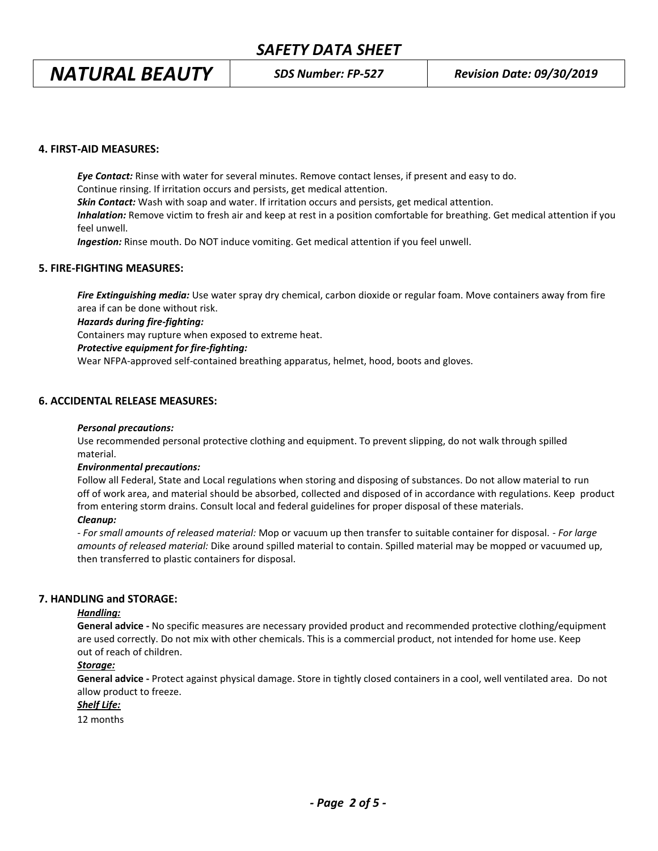# *NATURAL BEAUTY SDS Number: FP-527 Revision Date: 09/30/2019*

# **4. FIRST-AID MEASURES:**

*Eye Contact:* Rinse with water for several minutes. Remove contact lenses, if present and easy to do. Continue rinsing. If irritation occurs and persists, get medical attention. *Skin Contact:* Wash with soap and water. If irritation occurs and persists, get medical attention. *Inhalation:* Remove victim to fresh air and keep at rest in a position comfortable for breathing. Get medical attention if you feel unwell. *Ingestion:* Rinse mouth. Do NOT induce vomiting. Get medical attention if you feel unwell.

# **5. FIRE-FIGHTING MEASURES:**

*Fire Extinguishing media:* Use water spray dry chemical, carbon dioxide or regular foam. Move containers away from fire area if can be done without risk.

# *Hazards during fire-fighting:*

Containers may rupture when exposed to extreme heat.

# *Protective equipment for fire-fighting:*

Wear NFPA-approved self-contained breathing apparatus, helmet, hood, boots and gloves.

# **6. ACCIDENTAL RELEASE MEASURES:**

## *Personal precautions:*

Use recommended personal protective clothing and equipment. To prevent slipping, do not walk through spilled material.

#### *Environmental precautions:*

Follow all Federal, State and Local regulations when storing and disposing of substances. Do not allow material to run off of work area, and material should be absorbed, collected and disposed of in accordance with regulations. Keep product from entering storm drains. Consult local and federal guidelines for proper disposal of these materials.

## *Cleanup:*

*- For small amounts of released material:* Mop or vacuum up then transfer to suitable container for disposal. - *For large amounts of released material:* Dike around spilled material to contain. Spilled material may be mopped or vacuumed up, then transferred to plastic containers for disposal.

# **7. HANDLING and STORAGE:**

# *Handling:*

**General advice -** No specific measures are necessary provided product and recommended protective clothing/equipment are used correctly. Do not mix with other chemicals. This is a commercial product, not intended for home use. Keep out of reach of children.

# *Storage:*

**General advice -** Protect against physical damage. Store in tightly closed containers in a cool, well ventilated area. Do not allow product to freeze.

#### *Shelf Life:*

12 months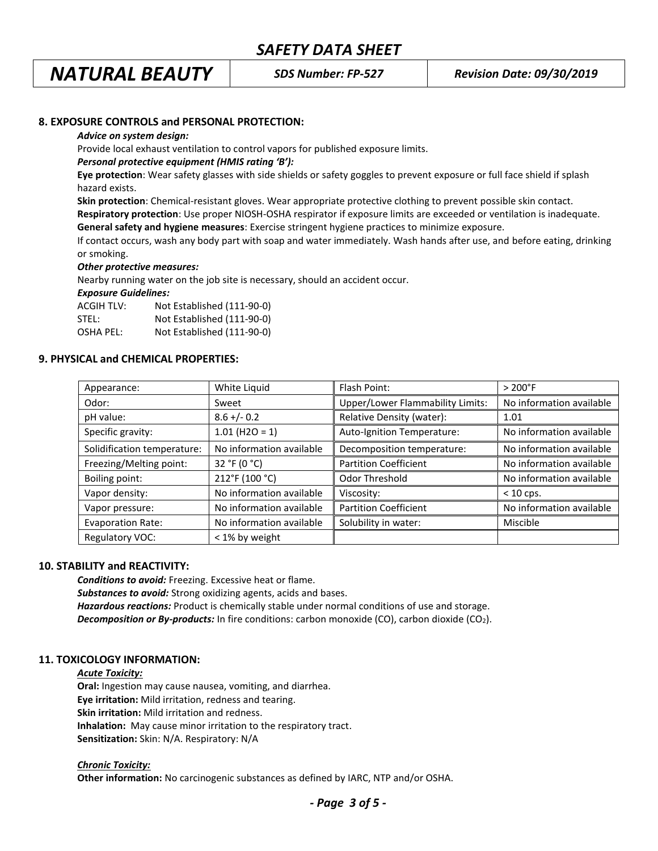# *NATURAL BEAUTY SDS Number: FP-527 Revision Date: 09/30/2019*

# **8. EXPOSURE CONTROLS and PERSONAL PROTECTION:**

#### *Advice on system design:*

Provide local exhaust ventilation to control vapors for published exposure limits.

#### *Personal protective equipment (HMIS rating 'B'):*

**Eye protection**: Wear safety glasses with side shields or safety goggles to prevent exposure or full face shield if splash hazard exists.

**Skin protection**: Chemical-resistant gloves. Wear appropriate protective clothing to prevent possible skin contact.

**Respiratory protection**: Use proper NIOSH-OSHA respirator if exposure limits are exceeded or ventilation is inadequate. **General safety and hygiene measures**: Exercise stringent hygiene practices to minimize exposure.

If contact occurs, wash any body part with soap and water immediately. Wash hands after use, and before eating, drinking or smoking.

#### *Other protective measures:*

Nearby running water on the job site is necessary, should an accident occur.

*Exposure Guidelines:*

| ACGIH TLV: | Not Established (111-90-0) |
|------------|----------------------------|
| STEL:      | Not Established (111-90-0) |
| OSHA PEL:  | Not Established (111-90-0) |

#### **9. PHYSICAL and CHEMICAL PROPERTIES:**

| Appearance:                 | White Liquid             | Flash Point:                            | $>200^{\circ}$ F         |
|-----------------------------|--------------------------|-----------------------------------------|--------------------------|
| Odor:                       | Sweet                    | <b>Upper/Lower Flammability Limits:</b> | No information available |
| pH value:                   | $8.6 +/- 0.2$            | Relative Density (water):               | 1.01                     |
| Specific gravity:           | $1.01$ (H2O = 1)         | Auto-Ignition Temperature:              | No information available |
| Solidification temperature: | No information available | Decomposition temperature:              | No information available |
| Freezing/Melting point:     | 32 °F (0 °C)             | <b>Partition Coefficient</b>            | No information available |
| Boiling point:              | 212°F (100 °C)           | Odor Threshold                          | No information available |
| Vapor density:              | No information available | Viscosity:                              | $<$ 10 cps.              |
| Vapor pressure:             | No information available | <b>Partition Coefficient</b>            | No information available |
| <b>Evaporation Rate:</b>    | No information available | Solubility in water:                    | Miscible                 |
| Regulatory VOC:             | < 1% by weight           |                                         |                          |

#### **10. STABILITY and REACTIVITY:**

*Conditions to avoid:* Freezing. Excessive heat or flame. *Substances to avoid:* Strong oxidizing agents, acids and bases. *Hazardous reactions:* Product is chemically stable under normal conditions of use and storage. **Decomposition or By-products:** In fire conditions: carbon monoxide (CO), carbon dioxide (CO<sub>2</sub>).

# **11. TOXICOLOGY INFORMATION:**

# *Acute Toxicity:*

**Oral:** Ingestion may cause nausea, vomiting, and diarrhea. **Eye irritation:** Mild irritation, redness and tearing. **Skin irritation:** Mild irritation and redness. **Inhalation:** May cause minor irritation to the respiratory tract. **Sensitization:** Skin: N/A. Respiratory: N/A

# *Chronic Toxicity:*

**Other information:** No carcinogenic substances as defined by IARC, NTP and/or OSHA.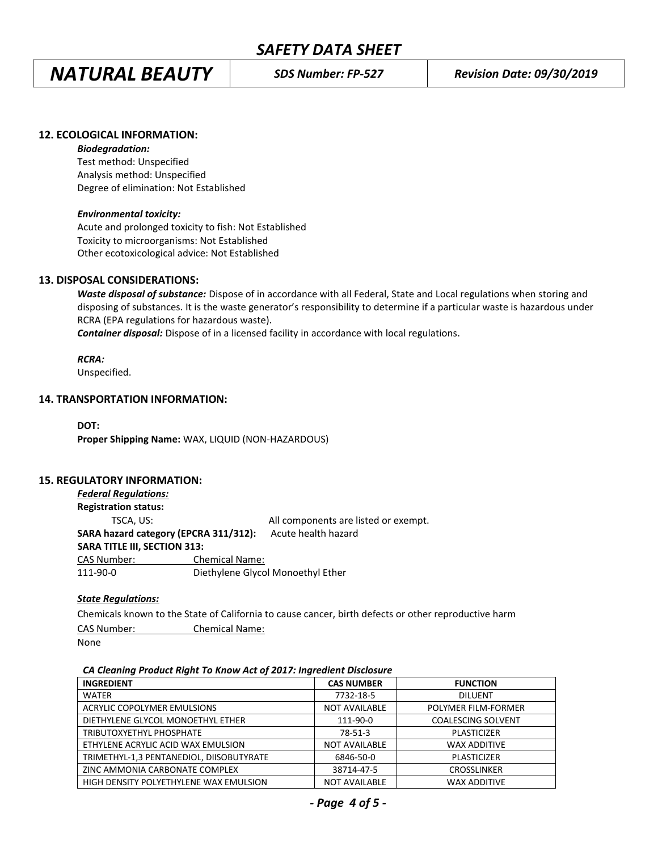*NATURAL BEAUTY SDS Number: FP-527 Revision Date: 09/30/2019*

## **12. ECOLOGICAL INFORMATION:**

#### *Biodegradation:*

Test method: Unspecified Analysis method: Unspecified Degree of elimination: Not Established

#### *Environmental toxicity:*

Acute and prolonged toxicity to fish: Not Established Toxicity to microorganisms: Not Established Other ecotoxicological advice: Not Established

#### **13. DISPOSAL CONSIDERATIONS:**

*Waste disposal of substance:* Dispose of in accordance with all Federal, State and Local regulations when storing and disposing of substances. It is the waste generator's responsibility to determine if a particular waste is hazardous under RCRA (EPA regulations for hazardous waste).

*Container disposal:* Dispose of in a licensed facility in accordance with local regulations.

#### *RCRA:*

Unspecified.

# **14. TRANSPORTATION INFORMATION:**

**DOT: Proper Shipping Name:** WAX, LIQUID (NON-HAZARDOUS)

## **15. REGULATORY INFORMATION:**

| <b>Federal Regulations:</b>           |                       |                                      |
|---------------------------------------|-----------------------|--------------------------------------|
| <b>Registration status:</b>           |                       |                                      |
| TSCA, US:                             |                       | All components are listed or exempt. |
| SARA hazard category (EPCRA 311/312): |                       | Acute health hazard                  |
| <b>SARA TITLE III, SECTION 313:</b>   |                       |                                      |
| <b>CAS Number:</b>                    | <b>Chemical Name:</b> |                                      |
| 111-90-0                              |                       | Diethylene Glycol Monoethyl Ether    |
|                                       |                       |                                      |

#### *State Regulations:*

Chemicals known to the State of California to cause cancer, birth defects or other reproductive harm

CAS Number: Chemical Name:

None

#### *CA Cleaning Product Right To Know Act of 2017: Ingredient Disclosure*

| <b>INGREDIENT</b>                        | <b>CAS NUMBER</b>    | <b>FUNCTION</b>           |
|------------------------------------------|----------------------|---------------------------|
| <b>WATER</b>                             | 7732-18-5            | <b>DILUENT</b>            |
| ACRYLIC COPOLYMER EMULSIONS              | <b>NOT AVAILABLE</b> | POLYMER FILM-FORMER       |
| DIETHYLENE GLYCOL MONOETHYL ETHER        | 111-90-0             | <b>COALESCING SOLVENT</b> |
| TRIBUTOXYETHYL PHOSPHATE                 | 78-51-3              | <b>PLASTICIZER</b>        |
| ETHYLENE ACRYLIC ACID WAX EMULSION       | <b>NOT AVAILABLE</b> | <b>WAX ADDITIVE</b>       |
| TRIMETHYL-1,3 PENTANEDIOL, DIISOBUTYRATE | 6846-50-0            | <b>PLASTICIZER</b>        |
| ZINC AMMONIA CARBONATE COMPLEX           | 38714-47-5           | <b>CROSSLINKER</b>        |
| HIGH DENSITY POLYETHYLENE WAX EMULSION   | <b>NOT AVAILABLE</b> | <b>WAX ADDITIVE</b>       |